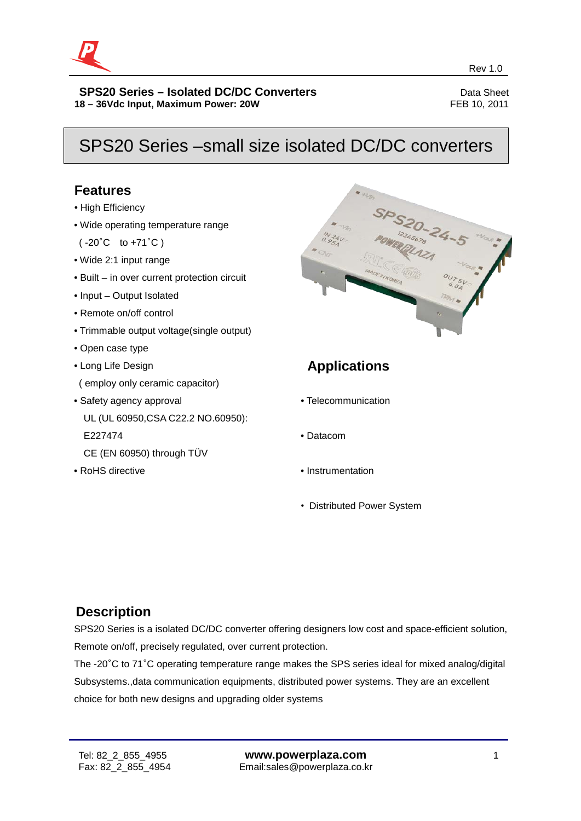

## SPS20 Series –small size isolated DC/DC converters

## **Features**

- High Efficiency
- Wide operating temperature range

( -20°C to +71°C )

- Wide 2:1 input range
- Built in over current protection circuit
- Input Output Isolated
- Remote on/off control
- Trimmable output voltage(single output)
- Open case type
- Long Life Design ( employ only ceramic capacitor)
- Safety agency approval UL (UL 60950,CSA C22.2 NO.60950): E227474
- CE (EN 60950) through TÜV
- RoHS directive



## **Applications**

- Telecommunication
- Datacom
- Instrumentation
- Distributed Power System

## **Description**

SPS20 Series is a isolated DC/DC converter offering designers low cost and space-efficient solution, Remote on/off, precisely regulated, over current protection.

The -20°C to 71°C operating temperature range makes the SPS series ideal for mixed analog/digital Subsystems.,data communication equipments, distributed power systems. They are an excellent choice for both new designs and upgrading older systems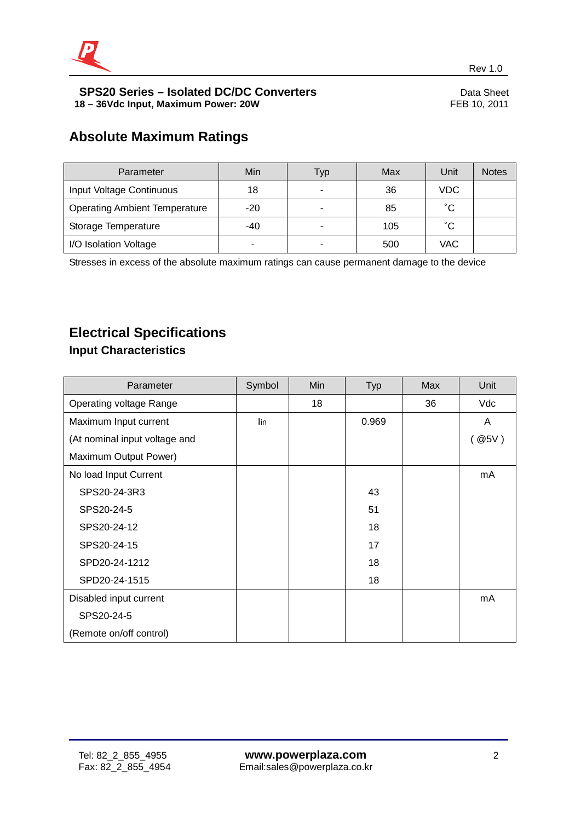

## **Absolute Maximum Ratings**

| Parameter                            | Min   | Typ                      | Max | Unit         | <b>Notes</b> |
|--------------------------------------|-------|--------------------------|-----|--------------|--------------|
| Input Voltage Continuous             | 18    | -                        | 36  | VDC          |              |
| <b>Operating Ambient Temperature</b> | $-20$ | $\overline{\phantom{a}}$ | 85  | $^{\circ}$ C |              |
| Storage Temperature                  | -40   | $\blacksquare$           | 105 | $^{\circ}$ C |              |
| I/O Isolation Voltage                |       | ۰                        | 500 | VAC          |              |

Stresses in excess of the absolute maximum ratings can cause permanent damage to the device

## **Electrical Specifications**

## **Input Characteristics**

| Parameter                     | Symbol | Min | <b>Typ</b> | Max | Unit    |
|-------------------------------|--------|-----|------------|-----|---------|
| Operating voltage Range       |        | 18  |            | 36  | Vdc     |
| Maximum Input current         | lin    |     | 0.969      |     | A       |
| (At nominal input voltage and |        |     |            |     | ( @5V ) |
| Maximum Output Power)         |        |     |            |     |         |
| No load Input Current         |        |     |            |     | mA      |
| SPS20-24-3R3                  |        |     | 43         |     |         |
| SPS20-24-5                    |        |     | 51         |     |         |
| SPS20-24-12                   |        |     | 18         |     |         |
| SPS20-24-15                   |        |     | 17         |     |         |
| SPD20-24-1212                 |        |     | 18         |     |         |
| SPD20-24-1515                 |        |     | 18         |     |         |
| Disabled input current        |        |     |            |     | mA      |
| SPS20-24-5                    |        |     |            |     |         |
| (Remote on/off control)       |        |     |            |     |         |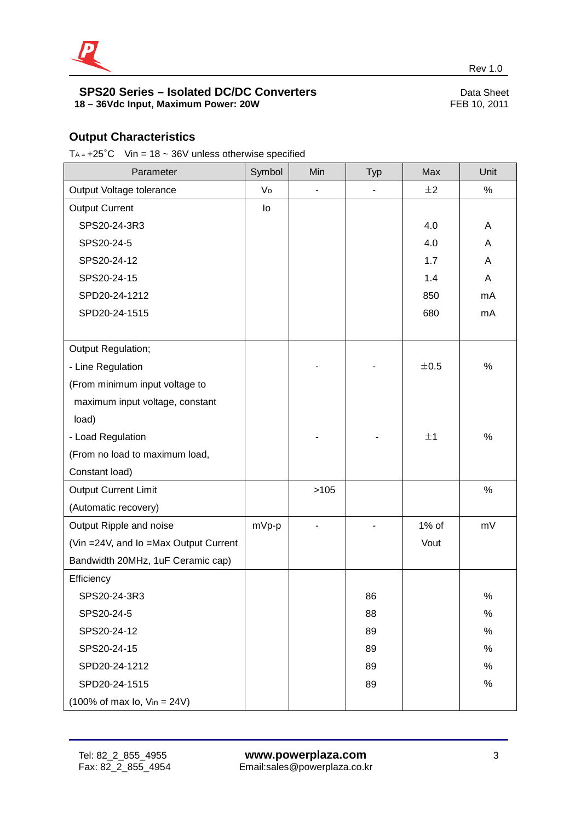

## **Output Characteristics**

T<sub>A =</sub>  $+25^{\circ}$ C Vin = 18 ~ 36V unless otherwise specified

| Parameter                                                   | Symbol | Min  | <b>Typ</b> | Max   | Unit |
|-------------------------------------------------------------|--------|------|------------|-------|------|
| Output Voltage tolerance                                    | Vo     |      | ÷,         | ±2    | $\%$ |
| <b>Output Current</b>                                       | lo     |      |            |       |      |
| SPS20-24-3R3                                                |        |      |            | 4.0   | A    |
| SPS20-24-5                                                  |        |      |            | 4.0   | Α    |
| SPS20-24-12                                                 |        |      |            | 1.7   | A    |
| SPS20-24-15                                                 |        |      |            | 1.4   | Α    |
| SPD20-24-1212                                               |        |      |            | 850   | mA   |
| SPD20-24-1515                                               |        |      |            | 680   | mA   |
|                                                             |        |      |            |       |      |
| Output Regulation;                                          |        |      |            |       |      |
| - Line Regulation                                           |        |      |            | ±0.5  | %    |
| (From minimum input voltage to                              |        |      |            |       |      |
| maximum input voltage, constant                             |        |      |            |       |      |
| load)                                                       |        |      |            |       |      |
| - Load Regulation                                           |        |      |            | ±1    | %    |
| (From no load to maximum load,                              |        |      |            |       |      |
| Constant load)                                              |        |      |            |       |      |
| <b>Output Current Limit</b>                                 |        | >105 |            |       | %    |
| (Automatic recovery)                                        |        |      |            |       |      |
| Output Ripple and noise                                     | mVp-p  |      |            | 1% of | mV   |
| (Vin = 24V, and Io = Max Output Current                     |        |      |            | Vout  |      |
| Bandwidth 20MHz, 1uF Ceramic cap)                           |        |      |            |       |      |
| Efficiency                                                  |        |      |            |       |      |
| SPS20-24-3R3                                                |        |      | 86         |       | $\%$ |
| SPS20-24-5                                                  |        |      | 88         |       | %    |
| SPS20-24-12                                                 |        |      | 89         |       | $\%$ |
| SPS20-24-15                                                 |        |      | 89         |       | $\%$ |
| SPD20-24-1212                                               |        |      | 89         |       | $\%$ |
| SPD20-24-1515                                               |        |      | 89         |       | $\%$ |
| $(100\% \text{ of max } I_0, \text{ V}_{in} = 24 \text{V})$ |        |      |            |       |      |

revenues and the contract of the contract of the contract of the contract of the Rev 1.0  $\sim$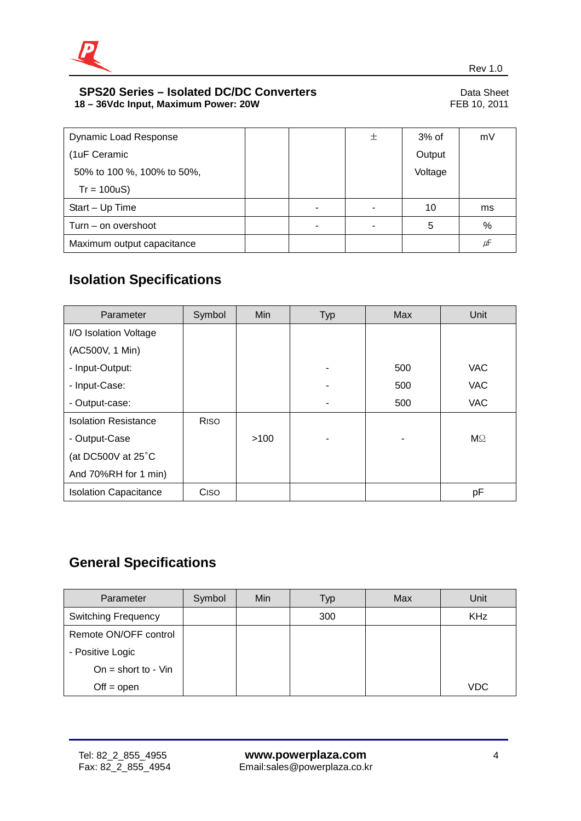

| <b>Dynamic Load Response</b> |  | 土 | $3%$ of | mV |
|------------------------------|--|---|---------|----|
| (1uF Ceramic                 |  |   | Output  |    |
| 50% to 100 %, 100% to 50%,   |  |   | Voltage |    |
| $Tr = 100uS$                 |  |   |         |    |
| Start - Up Time              |  |   | 10      | ms |
| Turn – on overshoot          |  |   | 5       | %  |
| Maximum output capacitance   |  |   |         | μF |

## **Isolation Specifications**

| Parameter                    | Symbol      | Min  | <b>Typ</b> | <b>Max</b> | Unit       |
|------------------------------|-------------|------|------------|------------|------------|
| I/O Isolation Voltage        |             |      |            |            |            |
| (AC500V, 1 Min)              |             |      |            |            |            |
| - Input-Output:              |             |      | ۰          | 500        | VAC        |
| - Input-Case:                |             |      |            | 500        | <b>VAC</b> |
| - Output-case:               |             |      |            | 500        | VAC        |
| <b>Isolation Resistance</b>  | <b>RISO</b> |      |            |            |            |
| - Output-Case                |             | >100 | ۰          |            | $M\Omega$  |
| (at DC500V at $25^{\circ}$ C |             |      |            |            |            |
| And 70%RH for 1 min)         |             |      |            |            |            |
| <b>Isolation Capacitance</b> | Ciso        |      |            |            | рF         |

## **General Specifications**

| Parameter                  | Symbol | Min | Typ | <b>Max</b> | Unit       |
|----------------------------|--------|-----|-----|------------|------------|
| <b>Switching Frequency</b> |        |     | 300 |            | <b>KHz</b> |
| Remote ON/OFF control      |        |     |     |            |            |
| - Positive Logic           |        |     |     |            |            |
| On = short to - $V$ in     |        |     |     |            |            |
| $Off = open$               |        |     |     |            | <b>VDC</b> |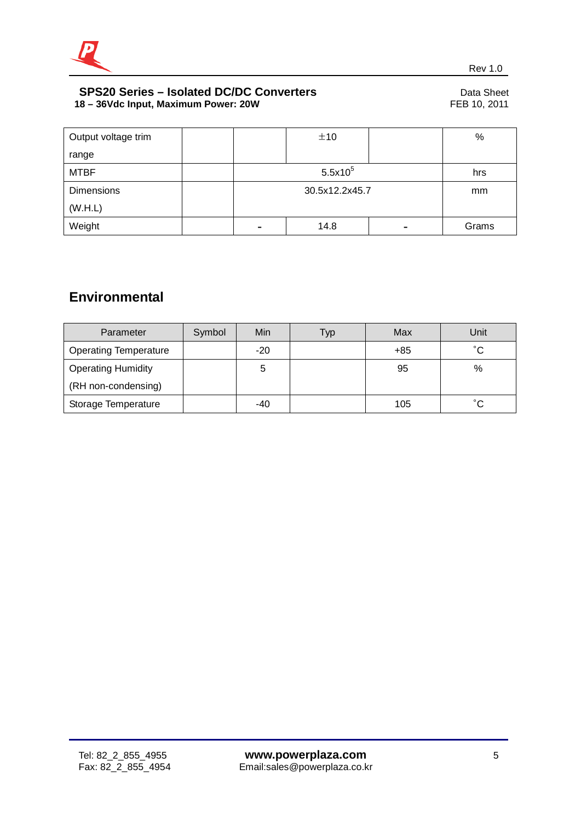

| Output voltage trim |                | ±10  |  | %     |
|---------------------|----------------|------|--|-------|
| range               |                |      |  |       |
| <b>MTBF</b>         | $5.5x10^5$     |      |  | hrs   |
| <b>Dimensions</b>   | 30.5x12.2x45.7 |      |  | mm    |
| (W.H.L)             |                |      |  |       |
| Weight              | -              | 14.8 |  | Grams |

## **Environmental**

| Parameter                    | Symbol | Min   | Тур | Max   | Unit         |
|------------------------------|--------|-------|-----|-------|--------------|
| <b>Operating Temperature</b> |        | $-20$ |     | $+85$ | $^{\circ}$ C |
| <b>Operating Humidity</b>    |        | 5     |     | 95    | $\%$         |
| (RH non-condensing)          |        |       |     |       |              |
| Storage Temperature          |        | -40   |     | 105   | $^{\circ}$ C |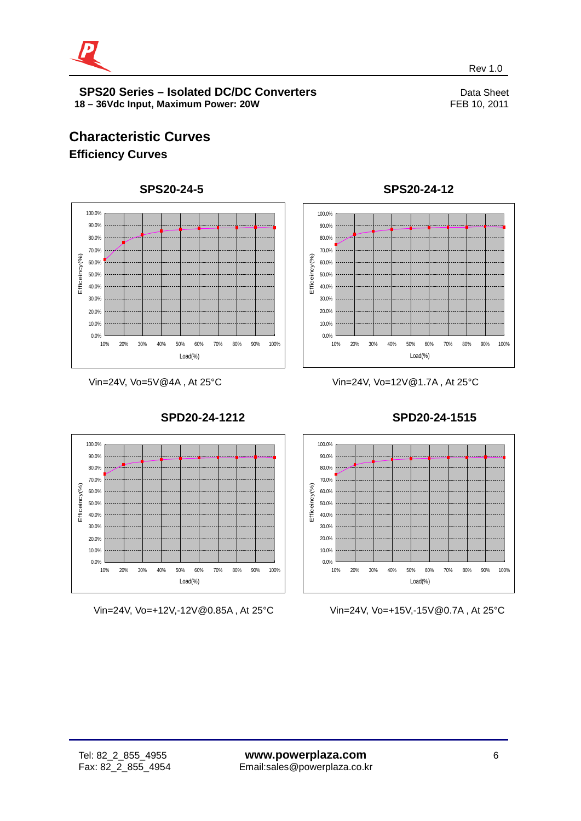

revenues and the contract of the contract of the contract of the contract of the Rev 1.0  $\sim$ 

## **Characteristic Curves Efficiency Curves**



Vin=24V, Vo=5V@4A , At 25°C



**SPD20-24-1212**



**SPS20-24-12**

Vin=24V, Vo=12V@1.7A , At 25°C



Vin=24V, Vo=+15V,-15V@0.7A , At 25°C

Vin=24V, Vo=+12V,-12V@0.85A , At 25°C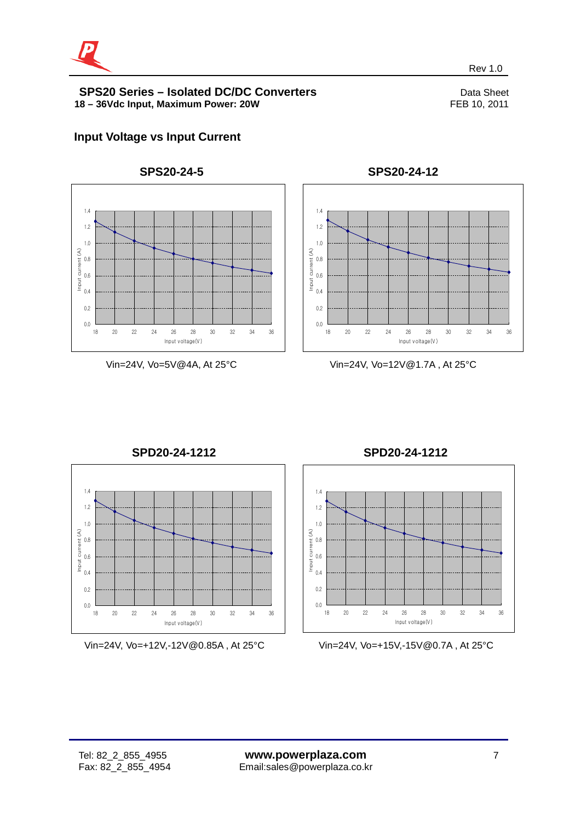

revenues and the contract of the contract of the contract of the contract of the Rev 1.0  $\sim$ 



## Vin=24V, Vo=5V@4A, At 25°C



## **SPS20-24-12**

Vin=24V, Vo=12V@1.7A , At 25°C



Vin=24V, Vo=+12V,-12V@0.85A , At 25°C

**SPD20-24-1212** 



Vin=24V, Vo=+15V,-15V@0.7A , At 25°C

**Input Voltage vs Input Current**

**SPS20-24-5**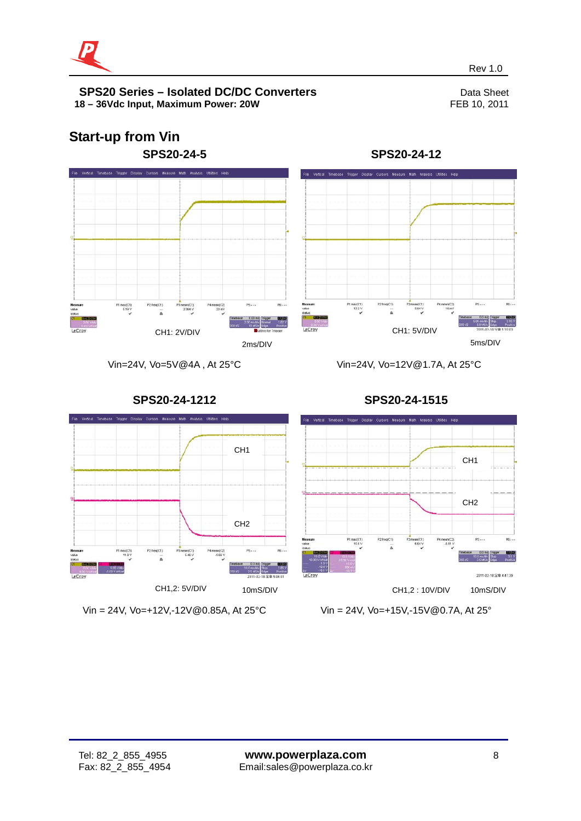



revenues and the contract of the contract of the contract of the contract of the Rev 1.0  $\sim$ 

**SPS20-24-1212**

Vin=24V, Vo=12V@1.7A, At 25°C



Vin = 24V, Vo=+12V,-12V@0.85A, At 25°C

**SPS20-24-1515**



Vin = 24V, Vo=+15V,-15V@0.7A, At 25°

Vin=24V, Vo=5V@4A , At 25°C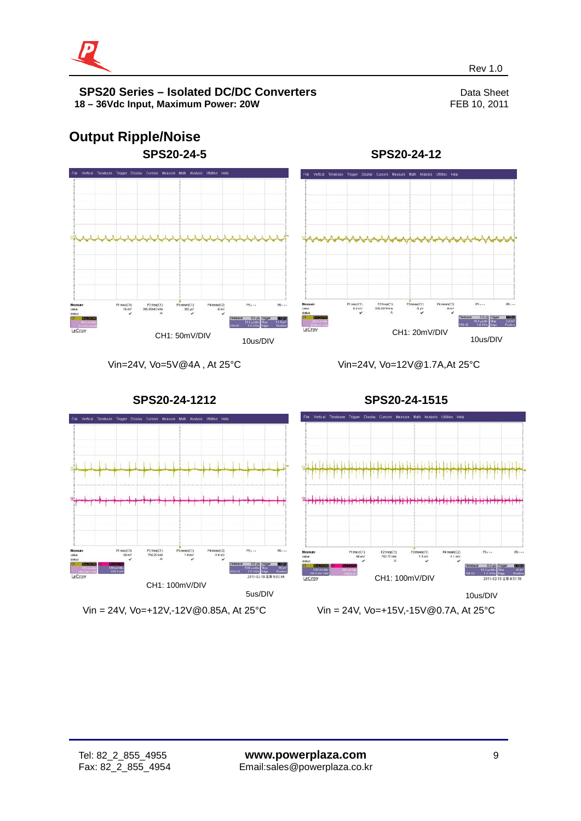

# **Output Ripple/Noise**



**SPS20-24-12**



Vin=24V, Vo=5V@4A , At 25°C

Vin=24V, Vo=12V@1.7A,At 25°C



Vin = 24V, Vo=+12V,-12V@0.85A, At 25°C

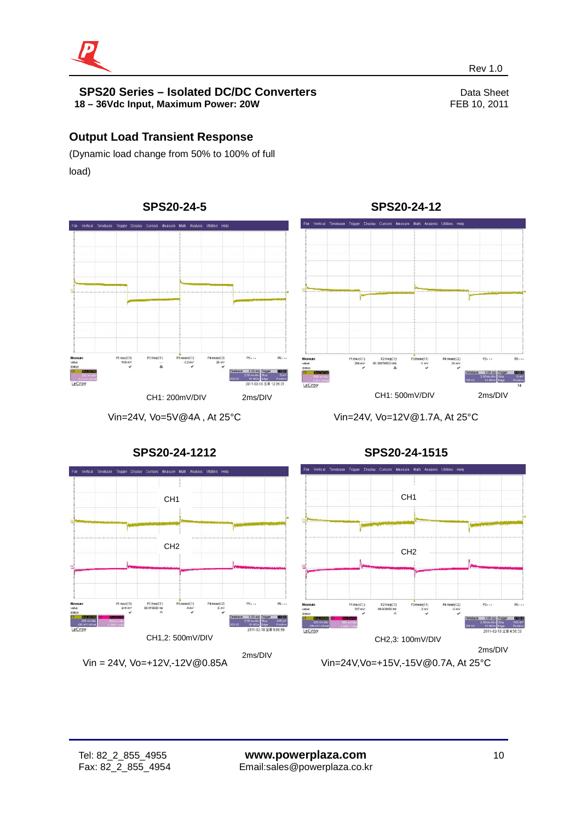

## **Output Load Transient Response**

(Dynamic load change from 50% to 100% of full load)



Vin=24V, Vo=5V@4A , At 25°C

**SPS20-24-12**



Vin=24V, Vo=12V@1.7A, At 25°C

**SPS20-24-1515**



## **SPS20-24-1212**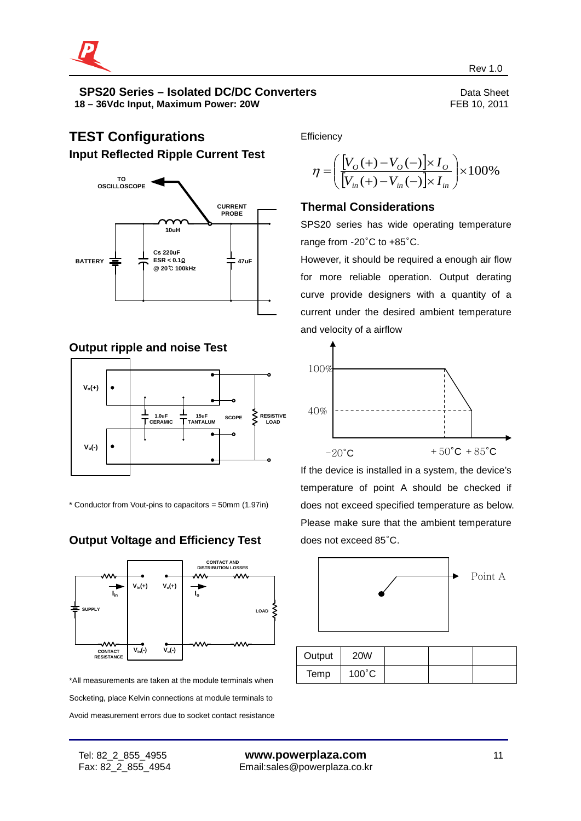

## **TEST Configurations Input Reflected Ripple Current Test**



## **Output ripple and noise Test**



\* Conductor from Vout-pins to capacitors = 50mm (1.97in)

## **Output Voltage and Efficiency Test**



\*All measurements are taken at the module terminals when Socketing, place Kelvin connections at module terminals to Avoid measurement errors due to socket contact resistance **Efficiency** 

$$
\eta = \left(\frac{[V_{O}(+) - V_{O}(-)] \times I_{O}}{[V_{in}(+) - V_{in}(-)] \times I_{in}}\right) \times 100\%
$$

## **Thermal Considerations**

SPS20 series has wide operating temperature range from -20°C to +85°C.

However, it should be required a enough air flow for more reliable operation. Output derating curve provide designers with a quantity of a current under the desired ambient temperature and velocity of a airflow



If the device is installed in a system, the device's temperature of point A should be checked if does not exceed specified temperature as below. Please make sure that the ambient temperature does not exceed 85°C.



| Output | <b>20W</b>      |  |  |
|--------|-----------------|--|--|
| Temp   | $100^{\circ}$ C |  |  |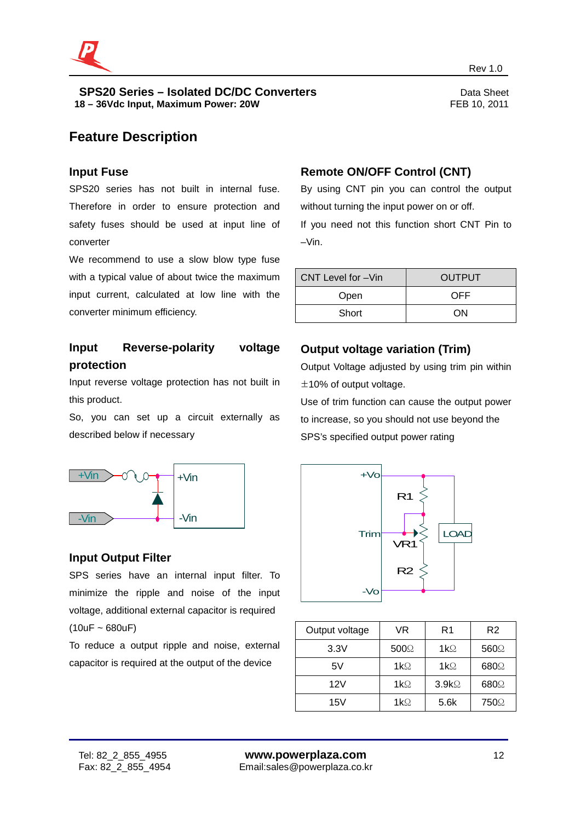

## **Feature Description**

#### **Input Fuse**

SPS20 series has not built in internal fuse. Therefore in order to ensure protection and safety fuses should be used at input line of converter

We recommend to use a slow blow type fuse with a typical value of about twice the maximum input current, calculated at low line with the converter minimum efficiency.

## **Input Reverse-polarity voltage protection**

Input reverse voltage protection has not built in this product.

So, you can set up a circuit externally as described below if necessary



#### **Input Output Filter**

SPS series have an internal input filter. To minimize the ripple and noise of the input voltage, additional external capacitor is required  $(10uF - 680uF)$ 

To reduce a output ripple and noise, external capacitor is required at the output of the device

## **Remote ON/OFF Control (CNT)**

revenues and the contract of the contract of the contract of the contract of the Rev 1.0  $\sim$ 

By using CNT pin you can control the output without turning the input power on or off.

If you need not this function short CNT Pin to –Vin.

| CNT Level for -Vin | <b>OUTPUT</b> |
|--------------------|---------------|
| Open               | OFF           |
| Short              | ΩN            |

### **Output voltage variation (Trim)**

Output Voltage adjusted by using trim pin within  $\pm$ 10% of output voltage.

Use of trim function can cause the output power to increase, so you should not use beyond the SPS's specified output power rating



| Output voltage | VR               | R1                | R <sub>2</sub> |
|----------------|------------------|-------------------|----------------|
| 3.3V           | 500 <sup>°</sup> | $1k\Omega$        | 560Q           |
| 5V             | $1k\Omega$       | $1k\Omega$        | 680Q           |
| 12V            | $1k\Omega$       | 3.9k <sub>2</sub> | 680Q           |
| 15V            | $1k\Omega$       | 5.6k              | 750Ω           |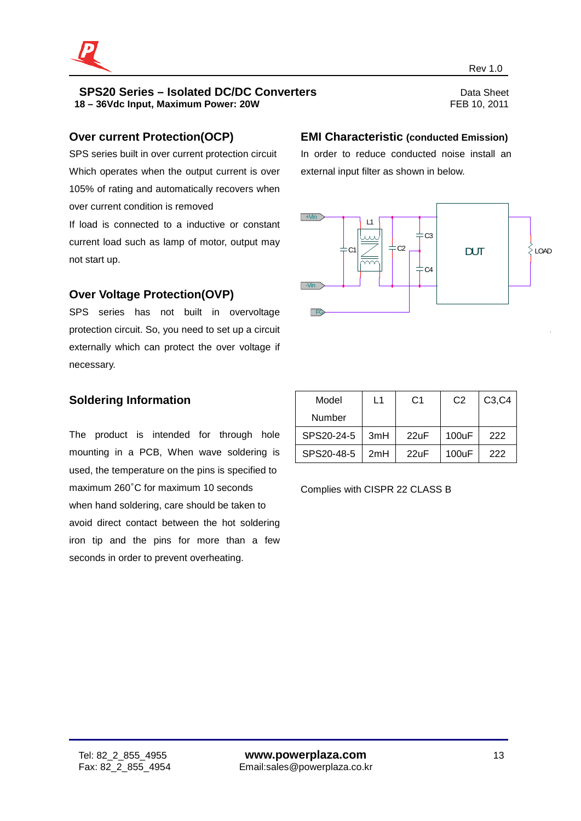

#### **Over current Protection(OCP)**

SPS series built in over current protection circuit Which operates when the output current is over 105% of rating and automatically recovers when over current condition is removed

If load is connected to a inductive or constant current load such as lamp of motor, output may not start up.

## **Over Voltage Protection(OVP)**

SPS series has not built in overvoltage protection circuit. So, you need to set up a circuit externally which can protect the over voltage if necessary.

## **Soldering Information**

The product is intended for through hole mounting in a PCB, When wave soldering is used, the temperature on the pins is specified to maximum 260°C for maximum 10 seconds when hand soldering, care should be taken to avoid direct contact between the hot soldering iron tip and the pins for more than a few seconds in order to prevent overheating.

#### **EMI Characteristic (conducted Emission)**

In order to reduce conducted noise install an external input filter as shown in below.



| Model      | L1  | C1   | C <sub>2</sub> | C <sub>3</sub> , C <sub>4</sub> |
|------------|-----|------|----------------|---------------------------------|
| Number     |     |      |                |                                 |
| SPS20-24-5 | 3mH | 22uF | 100uF          | 222                             |
| SPS20-48-5 | 2mH | 22uF | 100uF          | 222                             |

Complies with CISPR 22 CLASS B

revenues and the contract of the contract of the contract of the contract of the Rev 1.0  $\sim$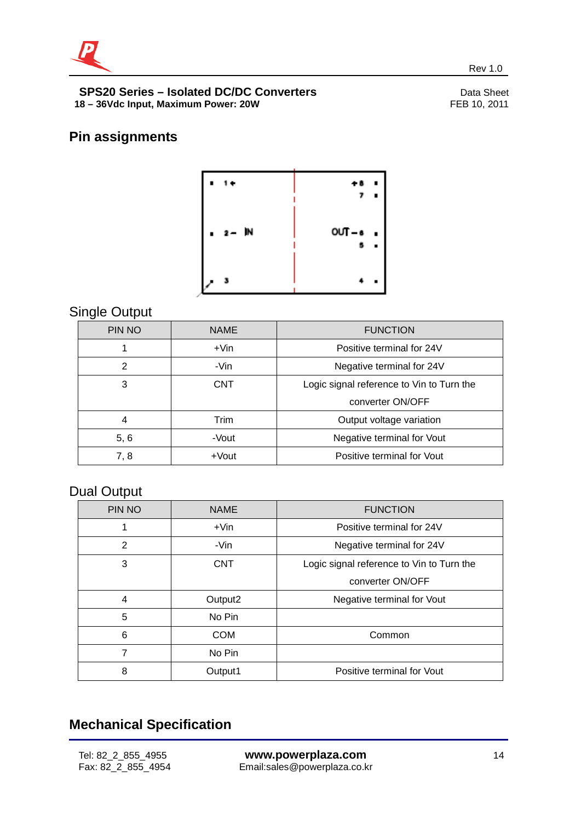

## **Pin assignments**



revenues and the contract of the contract of the contract of the contract of the Rev 1.0  $\sim$ 

## Single Output

| PIN NO         | <b>NAME</b> | <b>FUNCTION</b>                           |
|----------------|-------------|-------------------------------------------|
|                | $+V$ in     | Positive terminal for 24V                 |
| $\overline{2}$ | -Vin        | Negative terminal for 24V                 |
| 3              | <b>CNT</b>  | Logic signal reference to Vin to Turn the |
|                |             | converter ON/OFF                          |
| 4              | Trim        | Output voltage variation                  |
| 5, 6           | -Vout       | Negative terminal for Vout                |
| 7,8            | $+$ Vout    | Positive terminal for Vout                |

## Dual Output

| PIN NO | <b>NAME</b>         | <b>FUNCTION</b>                           |
|--------|---------------------|-------------------------------------------|
|        | $+V$ in             | Positive terminal for 24V                 |
| 2      | -Vin                | Negative terminal for 24V                 |
| 3      | <b>CNT</b>          | Logic signal reference to Vin to Turn the |
|        |                     | converter ON/OFF                          |
| 4      | Output <sub>2</sub> | Negative terminal for Vout                |
| 5      | No Pin              |                                           |
| 6      | <b>COM</b>          | Common                                    |
| 7      | No Pin              |                                           |
| 8      | Output1             | Positive terminal for Vout                |

## **Mechanical Specification**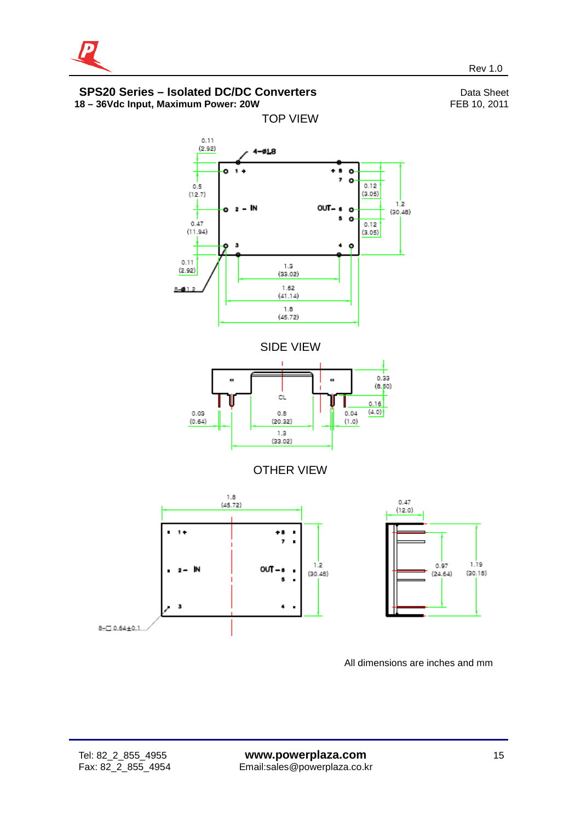



All dimensions are inches and mm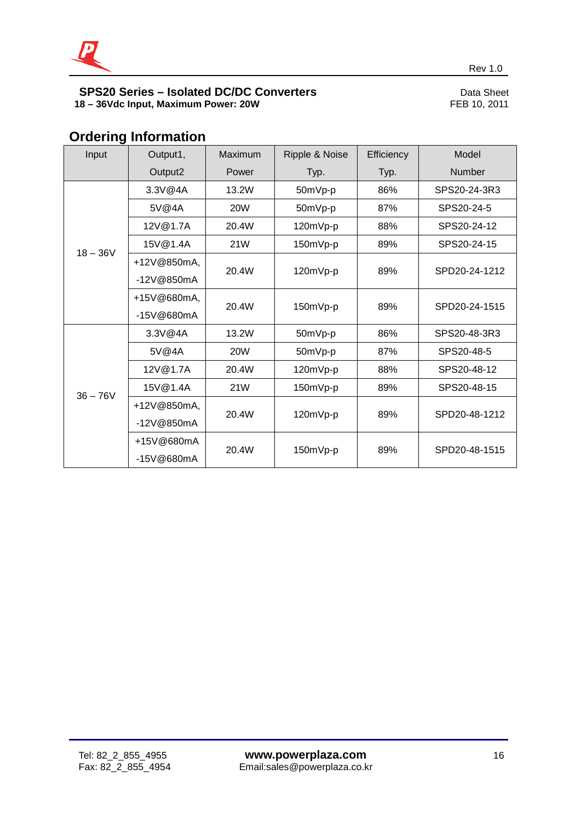

## **Ordering Information**

| Input      | Output1,    | Maximum    | Ripple & Noise | Efficiency | Model         |
|------------|-------------|------------|----------------|------------|---------------|
|            | Output2     | Power      | Typ.           | Typ.       | <b>Number</b> |
|            | 3.3V@4A     | 13.2W      | 50mVp-p        | 86%        | SPS20-24-3R3  |
|            | 5V@4A       | <b>20W</b> | 50mVp-p        | 87%        | SPS20-24-5    |
|            | 12V@1.7A    | 20.4W      | 120mVp-p       | 88%        | SPS20-24-12   |
| $18 - 36V$ | 15V@1.4A    | 21W        | 150mVp-p       | 89%        | SPS20-24-15   |
|            | +12V@850mA, | 20.4W      | 120mVp-p       | 89%        | SPD20-24-1212 |
| -12V@850mA |             |            |                |            |               |
|            | +15V@680mA, | 20.4W      | 150mVp-p       | 89%        | SPD20-24-1515 |
|            | -15V@680mA  |            |                |            |               |
|            | 3.3V@4A     | 13.2W      | 50mVp-p        | 86%        | SPS20-48-3R3  |
|            | 5V@4A       | <b>20W</b> | 50mVp-p        | 87%        | SPS20-48-5    |
|            | 12V@1.7A    | 20.4W      | 120mVp-p       | 88%        | SPS20-48-12   |
| $36 - 76V$ | 15V@1.4A    | 21W        | 150mVp-p       | 89%        | SPS20-48-15   |
|            | +12V@850mA, | 20.4W      |                | 89%        |               |
|            | -12V@850mA  |            | 120mVp-p       |            | SPD20-48-1212 |
|            | +15V@680mA  | 20.4W      | 150mVp-p       | 89%        | SPD20-48-1515 |
|            | -15V@680mA  |            |                |            |               |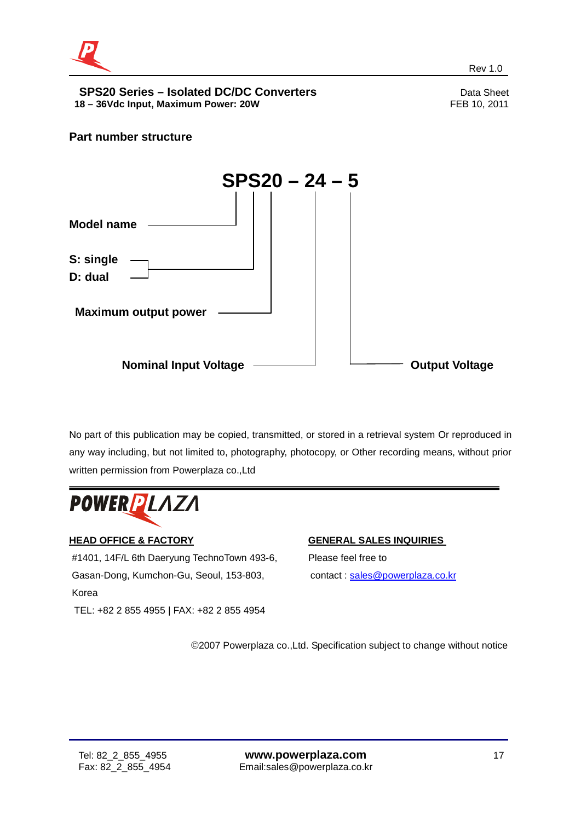

## **Part number structure**



No part of this publication may be copied, transmitted, or stored in a retrieval system Or reproduced in any way including, but not limited to, photography, photocopy, or Other recording means, without prior written permission from Powerplaza co.,Ltd



## **HEAD OFFICE & FACTORY**

#1401, 14F/L 6th Daeryung TechnoTown 493-6, Gasan-Dong, Kumchon-Gu, Seoul, 153-803, Korea TEL: +82 2 855 4955 | FAX: +82 2 855 4954

#### **GENERAL SALES INQUIRIES**

Please feel free to contact : [sales@powerplaza.co.kr](mailto:sales@powerplaza.co.kr)

©2007 Powerplaza co.,Ltd. Specification subject to change without notice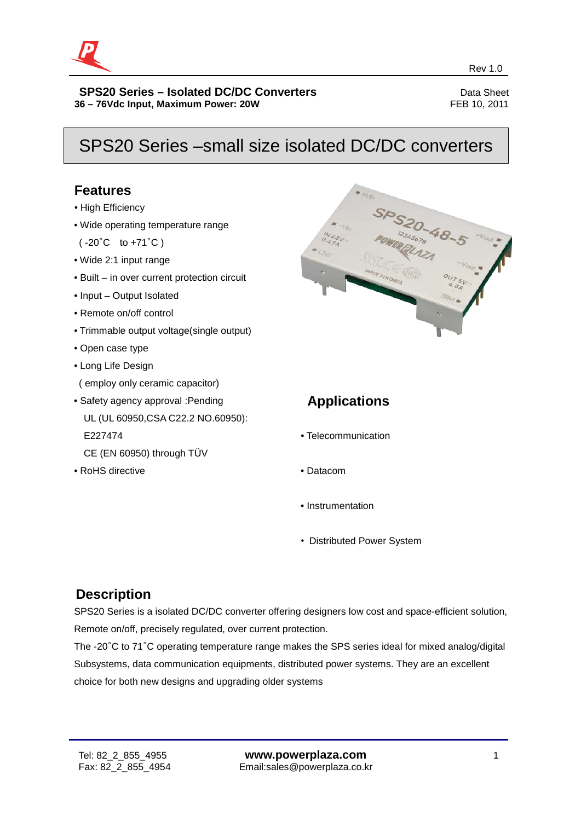

## SPS20 Series –small size isolated DC/DC converters

## **Features**

- High Efficiency
- Wide operating temperature range

( -20°C to +71°C )

- Wide 2:1 input range
- Built in over current protection circuit
- Input Output Isolated
- Remote on/off control
- Trimmable output voltage(single output)
- Open case type
- Long Life Design
- ( employ only ceramic capacitor)
- Safety agency approval :Pending UL (UL 60950,CSA C22.2 NO.60950): E227474 CE (EN 60950) through TÜV
- 
- RoHS directive



## **Applications**

- Telecommunication
- Datacom
- Instrumentation
- Distributed Power System

## **Description**

SPS20 Series is a isolated DC/DC converter offering designers low cost and space-efficient solution, Remote on/off, precisely regulated, over current protection.

The -20°C to 71°C operating temperature range makes the SPS series ideal for mixed analog/digital Subsystems, data communication equipments, distributed power systems. They are an excellent choice for both new designs and upgrading older systems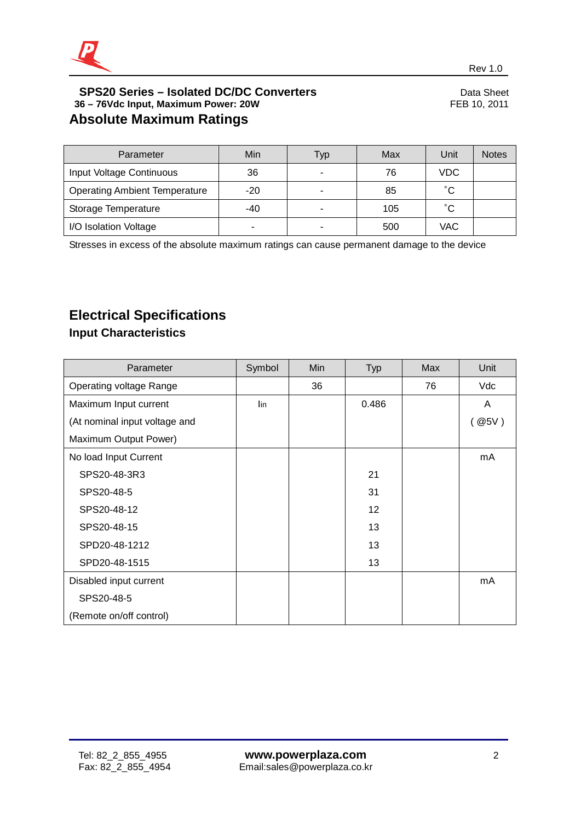

| Parameter                            | Min   | Typ | Max | Unit       | <b>Notes</b> |
|--------------------------------------|-------|-----|-----|------------|--------------|
| Input Voltage Continuous             | 36    | ۰   | 76  | <b>VDC</b> |              |
| <b>Operating Ambient Temperature</b> | $-20$ | ۰   | 85  | °С         |              |
| Storage Temperature                  | $-40$ | -   | 105 | °С         |              |
| I/O Isolation Voltage                | -     | ۰   | 500 | VAC        |              |

Stresses in excess of the absolute maximum ratings can cause permanent damage to the device

## **Electrical Specifications**

## **Input Characteristics**

| Parameter                     | Symbol | Min | <b>Typ</b>      | Max | Unit    |
|-------------------------------|--------|-----|-----------------|-----|---------|
| Operating voltage Range       |        | 36  |                 | 76  | Vdc     |
| Maximum Input current         | lin    |     | 0.486           |     | A       |
| (At nominal input voltage and |        |     |                 |     | ( @ 5V) |
| Maximum Output Power)         |        |     |                 |     |         |
| No load Input Current         |        |     |                 |     | mA      |
| SPS20-48-3R3                  |        |     | 21              |     |         |
| SPS20-48-5                    |        |     | 31              |     |         |
| SPS20-48-12                   |        |     | 12 <sup>2</sup> |     |         |
| SPS20-48-15                   |        |     | 13              |     |         |
| SPD20-48-1212                 |        |     | 13              |     |         |
| SPD20-48-1515                 |        |     | 13              |     |         |
| Disabled input current        |        |     |                 |     | mA      |
| SPS20-48-5                    |        |     |                 |     |         |
| (Remote on/off control)       |        |     |                 |     |         |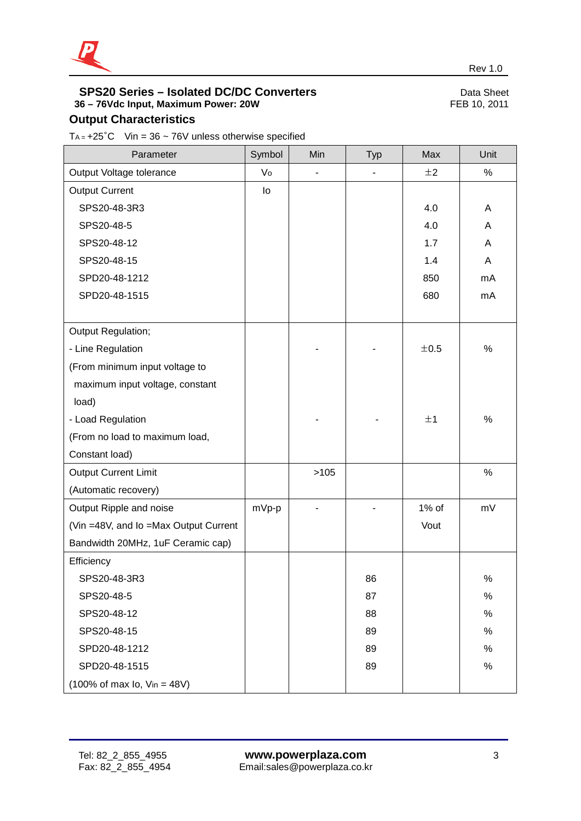

## **Output Characteristics**

T<sub>A =</sub>  $+25^{\circ}$ C Vin = 36 ~ 76V unless otherwise specified

| Parameter                                   | Symbol | Min  | <b>Typ</b>     | Max   | Unit |
|---------------------------------------------|--------|------|----------------|-------|------|
| Output Voltage tolerance                    | Vo     | ÷,   | $\blacksquare$ | ±2    | $\%$ |
| <b>Output Current</b>                       | lo     |      |                |       |      |
| SPS20-48-3R3                                |        |      |                | 4.0   | A    |
| SPS20-48-5                                  |        |      |                | 4.0   | Α    |
| SPS20-48-12                                 |        |      |                | 1.7   | Α    |
| SPS20-48-15                                 |        |      |                | 1.4   | A    |
| SPD20-48-1212                               |        |      |                | 850   | mA   |
| SPD20-48-1515                               |        |      |                | 680   | mA   |
|                                             |        |      |                |       |      |
| Output Regulation;                          |        |      |                |       |      |
| - Line Regulation                           |        |      |                | ±0.5  | $\%$ |
| (From minimum input voltage to              |        |      |                |       |      |
| maximum input voltage, constant             |        |      |                |       |      |
| load)                                       |        |      |                |       |      |
| - Load Regulation                           |        |      |                | ±1    | %    |
| (From no load to maximum load,              |        |      |                |       |      |
| Constant load)                              |        |      |                |       |      |
| <b>Output Current Limit</b>                 |        | >105 |                |       | $\%$ |
| (Automatic recovery)                        |        |      |                |       |      |
| Output Ripple and noise                     | mVp-p  |      |                | 1% of | mV   |
| (Vin =48V, and Io =Max Output Current       |        |      |                | Vout  |      |
| Bandwidth 20MHz, 1uF Ceramic cap)           |        |      |                |       |      |
| Efficiency                                  |        |      |                |       |      |
| SPS20-48-3R3                                |        |      | 86             |       | $\%$ |
| SPS20-48-5                                  |        |      | 87             |       | $\%$ |
| SPS20-48-12                                 |        |      | 88             |       | $\%$ |
| SPS20-48-15                                 |        |      | 89             |       | $\%$ |
| SPD20-48-1212                               |        |      | 89             |       | $\%$ |
| SPD20-48-1515                               |        |      | 89             |       | $\%$ |
| $(100\% \text{ of max } I_0, V_{in} = 48V)$ |        |      |                |       |      |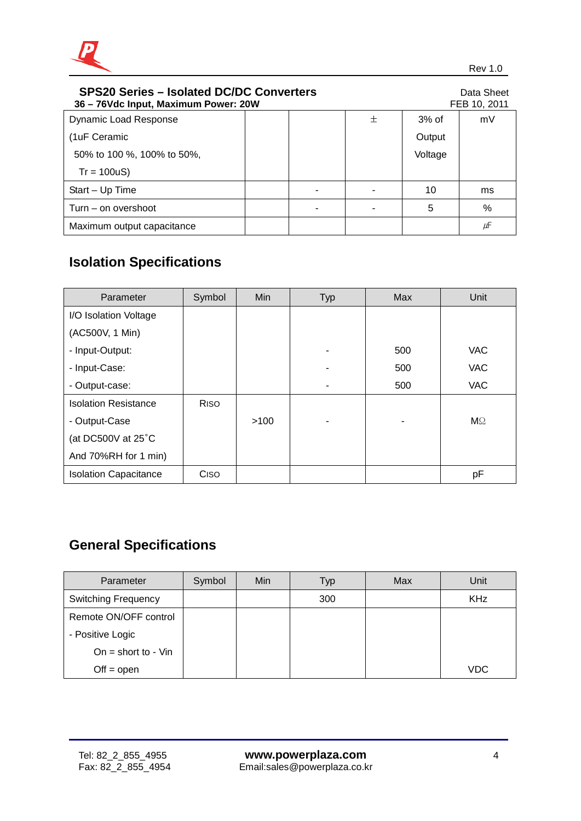

| <b>SPS20 Series - Isolated DC/DC Converters</b><br>36 - 76Vdc Input, Maximum Power: 20W |  |  |   |         | Data Sheet<br>FEB 10, 2011 |
|-----------------------------------------------------------------------------------------|--|--|---|---------|----------------------------|
| <b>Dynamic Load Response</b>                                                            |  |  | 土 | $3%$ of | mV                         |
| (1uF Ceramic                                                                            |  |  |   | Output  |                            |
| 50% to 100 %, 100% to 50%,                                                              |  |  |   | Voltage |                            |
| $Tr = 100uS$                                                                            |  |  |   |         |                            |
| Start - Up Time                                                                         |  |  |   | 10      | ms                         |
| Turn – on overshoot                                                                     |  |  |   | 5       | $\%$                       |
| Maximum output capacitance                                                              |  |  |   |         | μF                         |

## **Isolation Specifications**

| Parameter                    | Symbol      | Min  | <b>Typ</b> | <b>Max</b> | Unit           |
|------------------------------|-------------|------|------------|------------|----------------|
| I/O Isolation Voltage        |             |      |            |            |                |
| (AC500V, 1 Min)              |             |      |            |            |                |
| - Input-Output:              |             |      |            | 500        | <b>VAC</b>     |
| - Input-Case:                |             |      |            | 500        | <b>VAC</b>     |
| - Output-case:               |             |      | ۰          | 500        | <b>VAC</b>     |
| <b>Isolation Resistance</b>  | <b>RISO</b> |      |            |            |                |
| - Output-Case                |             | >100 |            |            | M <sup>°</sup> |
| (at DC500V at 25°C           |             |      |            |            |                |
| And 70%RH for 1 min)         |             |      |            |            |                |
| <b>Isolation Capacitance</b> | Ciso        |      |            |            | pF             |

## **General Specifications**

| Parameter                  | Symbol | Min | Typ | Max | Unit       |
|----------------------------|--------|-----|-----|-----|------------|
| <b>Switching Frequency</b> |        |     | 300 |     | <b>KHz</b> |
| Remote ON/OFF control      |        |     |     |     |            |
| - Positive Logic           |        |     |     |     |            |
| On = short to - $V$ in     |        |     |     |     |            |
| $Off = open$               |        |     |     |     | <b>VDC</b> |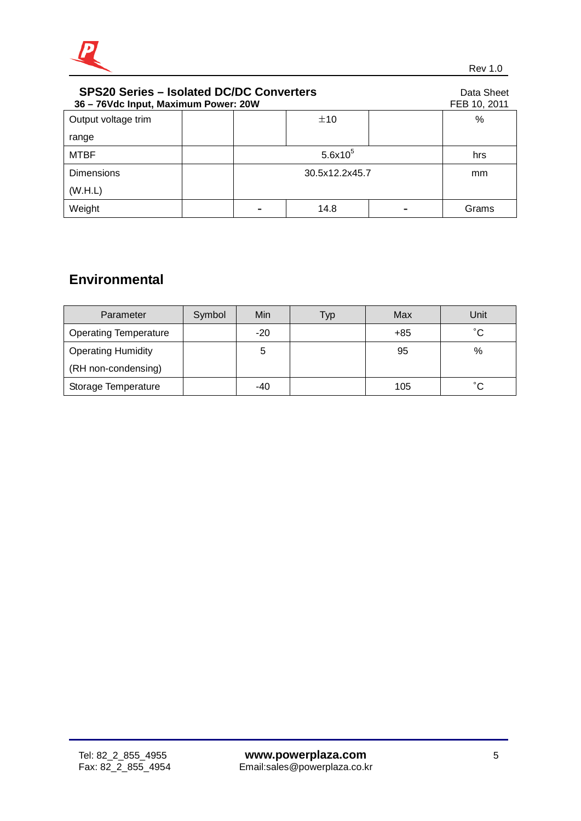

| <b>SPS20 Series - Isolated DC/DC Converters</b><br>36 - 76Vdc Input, Maximum Power: 20W |  |                |      |  | Data Sheet<br>FEB 10, 2011 |
|-----------------------------------------------------------------------------------------|--|----------------|------|--|----------------------------|
| Output voltage trim                                                                     |  |                | ±10  |  | $\%$                       |
| range                                                                                   |  |                |      |  |                            |
| <b>MTBF</b>                                                                             |  | $5.6x10^{5}$   |      |  | hrs                        |
| <b>Dimensions</b>                                                                       |  | 30.5x12.2x45.7 |      |  | mm                         |
| (W.H.L)                                                                                 |  |                |      |  |                            |
| Weight                                                                                  |  |                | 14.8 |  | Grams                      |

## **Environmental**

| Parameter                    | Symbol | Min   | Typ | Max   | Unit         |
|------------------------------|--------|-------|-----|-------|--------------|
| <b>Operating Temperature</b> |        | $-20$ |     | $+85$ | $^{\circ}$ C |
| <b>Operating Humidity</b>    |        | 5     |     | 95    | %            |
| (RH non-condensing)          |        |       |     |       |              |
| Storage Temperature          |        | -40   |     | 105   | $^{\circ}$ C |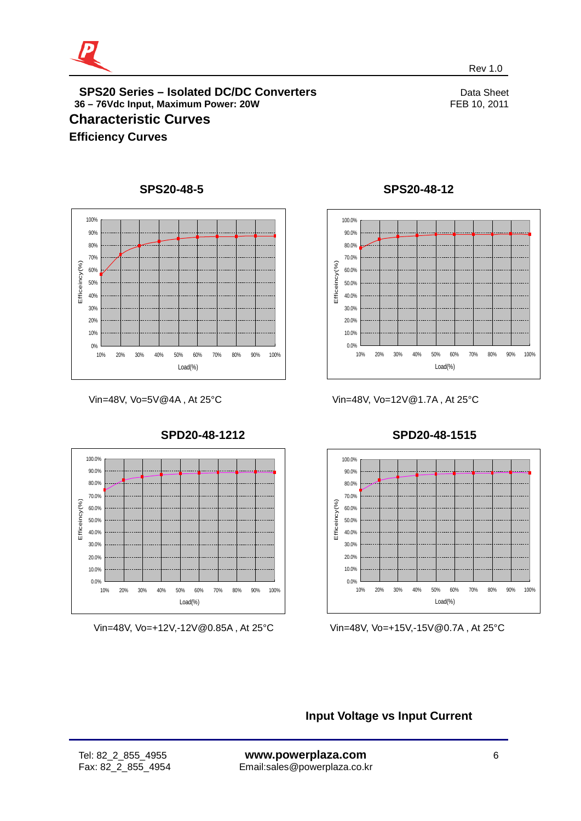

## **SPS20 Series – Isolated DC/DC Converters**<br>
8-76Vdc Input. Maximum Power: 20W<br>
FEB 10, 2011 **36 - 76Vdc Input, Maximum Power: 20W Characteristic Curves Efficiency Curves**



## **SPS20-48-5**

Vin=48V, Vo=5V@4A , At 25°C



Vin=48V, Vo=+12V,-12V@0.85A , At 25°C



**SPS20-48-12**

## **SPD20-48-1515**



Vin=48V, Vo=+15V,-15V@0.7A , At 25°C

**Input Voltage vs Input Current**

Vin=48V, Vo=12V@1.7A , At 25°C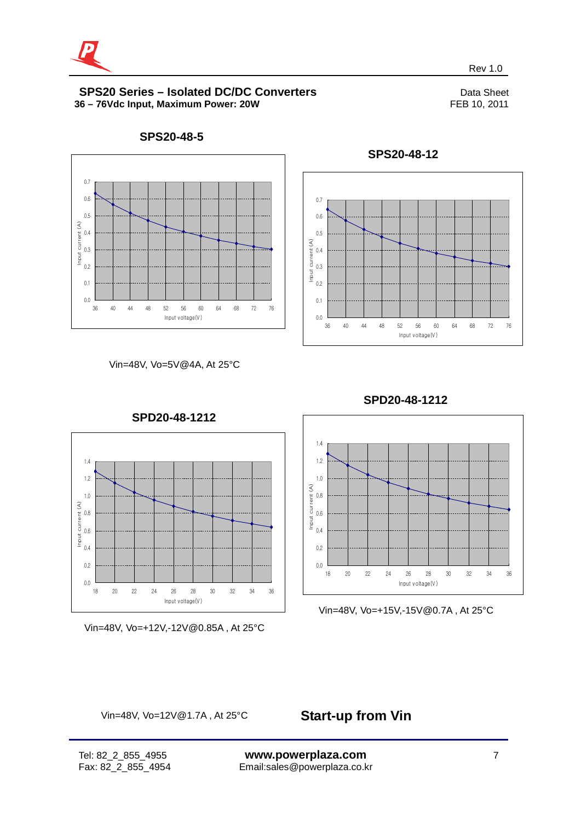



**SPS20-48-5**





**SPS20-48-12**

revenues and the contract of the contract of the contract of the contract of the Rev 1.0  $\sim$ 





Vin=48V, Vo=+12V,-12V@0.85A , At 25°C



Vin=48V, Vo=+15V,-15V@0.7A , At 25°C

Vin=48V, Vo=12V@1.7A , At 25°C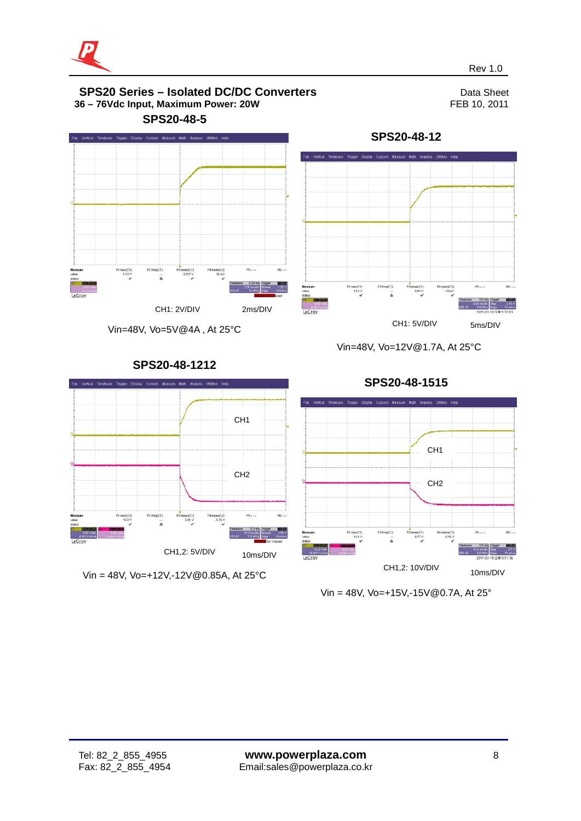

5ms/DIV

5.00 maldiv<br>5.0 MS/s<br>5.0 MS/s

re...

 $210V$ 



Vin=48V, Vo=5V@4A , At 25°C

**SPS20-48-1212**

**SPS20-48-1515**

Vin=48V, Vo=12V@1.7A, At 25°C

P1 max(C1)<br>122 V

CH1: 5V/DIV

 $rac{1}{2}$ 

Pemean(C2)<br>16 m/s

**SPS20-48-12**



Vin = 48V, Vo=+15V,-15V@0.7A, At 25°



Vin = 48V, Vo=+12V,-12V@0.85A, At 25°C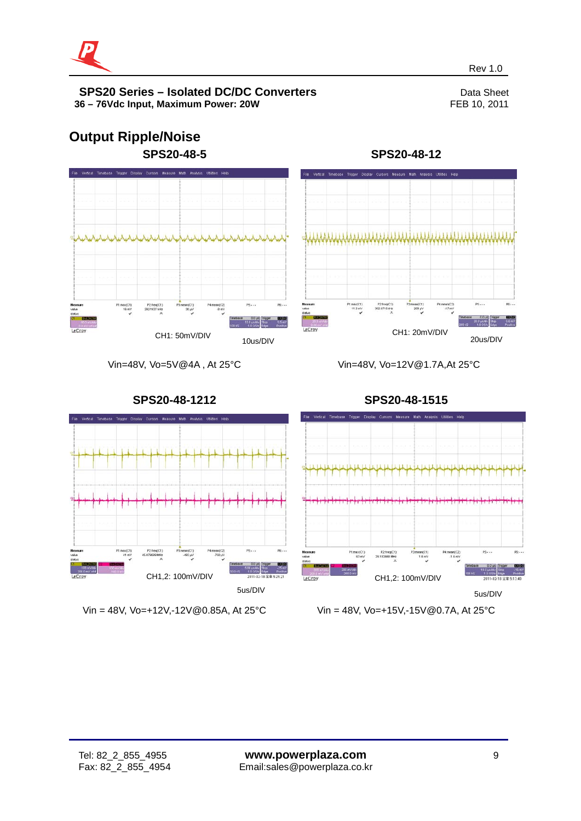

# **Output Ripple/Noise SPS20-48-5**

**SPS20-48-12**



Vin=48V, Vo=5V@4A , At 25°C

CH1: 50mV/DIV 10us/DIV

Vin=48V, Vo=12V@1.7A,At 25°C



Vin = 48V, Vo=+12V,-12V@0.85A, At 25°C

Vin = 48V, Vo=+15V,-15V@0.7A, At 25°C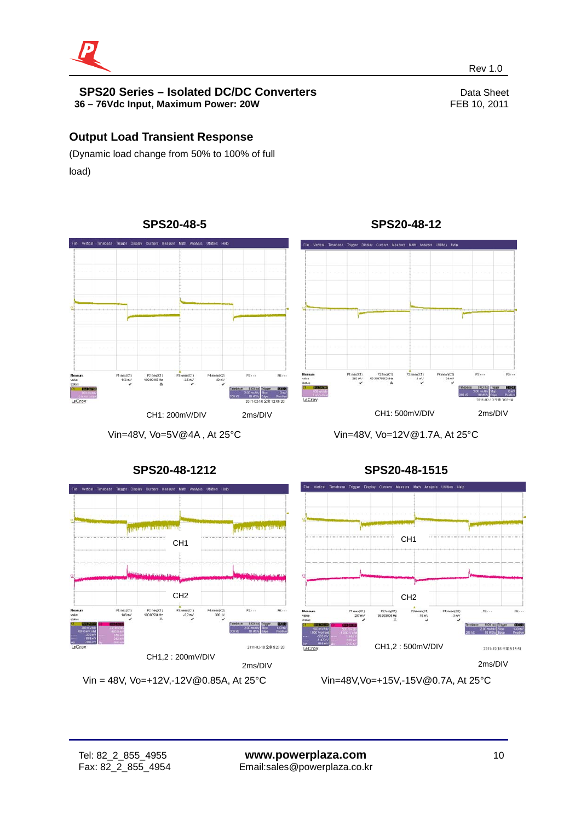

## **Output Load Transient Response**

(Dynamic load change from 50% to 100% of full load)

**SPS20-48-5**

# P2 freq(C1) 4.mean(C2)<br>20 ml ean(C1)<br>-2.5 mV CH1: 200mV/DIV 2ms/DIV CH1: 500mV/DIV 2ms/DIV

Vin=48V, Vo=5V@4A , At 25°C

**SPS20-48-1212**

-<br>File Vertical Timebase Trigger Display Cursors Measure Math Analysis Utilities He

P2 freq(C1)

CH1

CH2

ean(C1)<br>-5.2 mV

Vin = 48V, Vo=+12V,-12V@0.85A, At 25°C

CH1,2 : 200mV/DIV

1.max(C1)<br>266 mV

revenues and the contract of the contract of the contract of the contract of the Rev 1.0  $\sim$ 



P4 mean(C2<br>24 ml



2ms/DIV

Vin=48V,Vo=+15V,-15V@0.7A, At 25°C

## **SPS20-48-12**

ī

2ms/DIV

2011-02-18 全車 5:27:20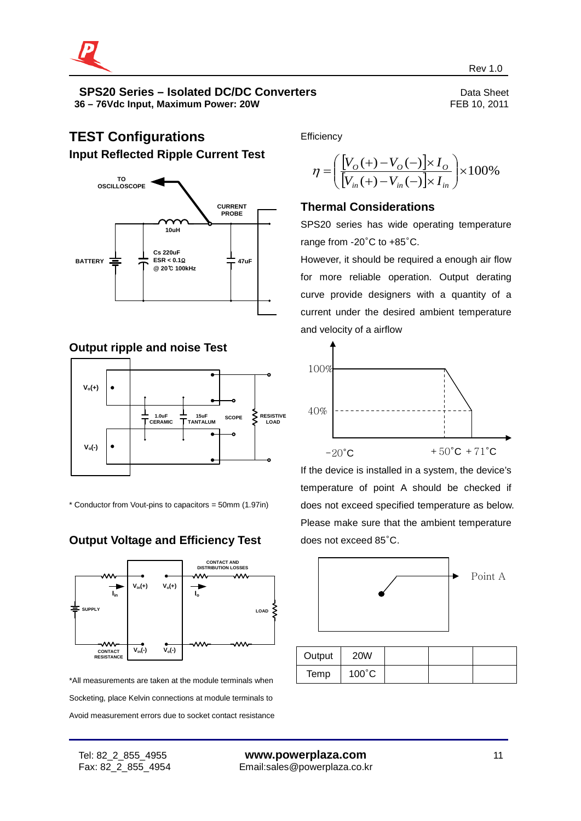

## **TEST Configurations Input Reflected Ripple Current Test**



## **Output ripple and noise Test**



\* Conductor from Vout-pins to capacitors = 50mm (1.97in)

## **Output Voltage and Efficiency Test**



\*All measurements are taken at the module terminals when Socketing, place Kelvin connections at module terminals to Avoid measurement errors due to socket contact resistance **Efficiency** 

$$
\eta = \left(\frac{[V_{O}(+) - V_{O}(-)] \times I_{O}}{[V_{in}(+) - V_{in}(-)] \times I_{in}}\right) \times 100\%
$$

#### **Thermal Considerations**

SPS20 series has wide operating temperature range from -20°C to +85°C.

However, it should be required a enough air flow for more reliable operation. Output derating curve provide designers with a quantity of a current under the desired ambient temperature and velocity of a airflow



If the device is installed in a system, the device's temperature of point A should be checked if does not exceed specified temperature as below. Please make sure that the ambient temperature does not exceed 85°C.



| Output | <b>20W</b>      |  |  |
|--------|-----------------|--|--|
| Temp   | $100^{\circ}$ C |  |  |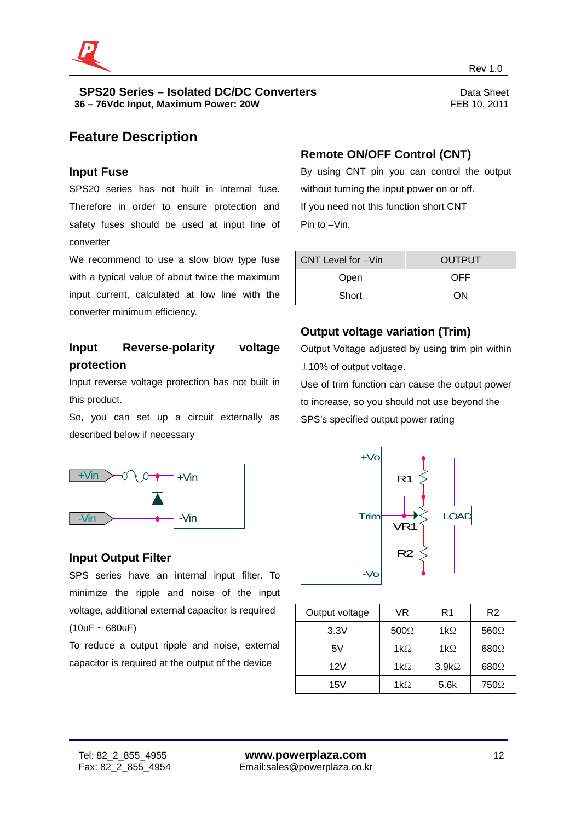

## **Feature Description**

#### **Input Fuse**

SPS20 series has not built in internal fuse. Therefore in order to ensure protection and safety fuses should be used at input line of converter

We recommend to use a slow blow type fuse with a typical value of about twice the maximum input current, calculated at low line with the converter minimum efficiency.

## **Input Reverse-polarity voltage protection**

Input reverse voltage protection has not built in this product.

So, you can set up a circuit externally as described below if necessary



### **Input Output Filter**

SPS series have an internal input filter. To minimize the ripple and noise of the input voltage, additional external capacitor is required  $(10uF - 680uF)$ 

To reduce a output ripple and noise, external capacitor is required at the output of the device

## **Remote ON/OFF Control (CNT)**

revenues and the contract of the contract of the contract of the contract of the Rev 1.0  $\sim$ 

By using CNT pin you can control the output without turning the input power on or off. If you need not this function short CNT Pin to –Vin.

| CNT Level for -Vin | <b>OUTPUT</b> |  |  |
|--------------------|---------------|--|--|
| Open               | OFF           |  |  |
| Short              | ON            |  |  |

## **Output voltage variation (Trim)**

Output Voltage adjusted by using trim pin within  $±10%$  of output voltage.

Use of trim function can cause the output power to increase, so you should not use beyond the SPS's specified output power rating



| Output voltage | VR               | R1                | R <sub>2</sub> |
|----------------|------------------|-------------------|----------------|
| 3.3V           | 500 <sup>°</sup> | $1k\Omega$        | 560Q           |
| 5V             | $1k\Omega$       | $1k\Omega$        | 680Q           |
| 12V            | $1k\Omega$       | 3.9k <sub>2</sub> | 680Q           |
| 15V            | $1k\Omega$       | 5.6k              | 750Ω           |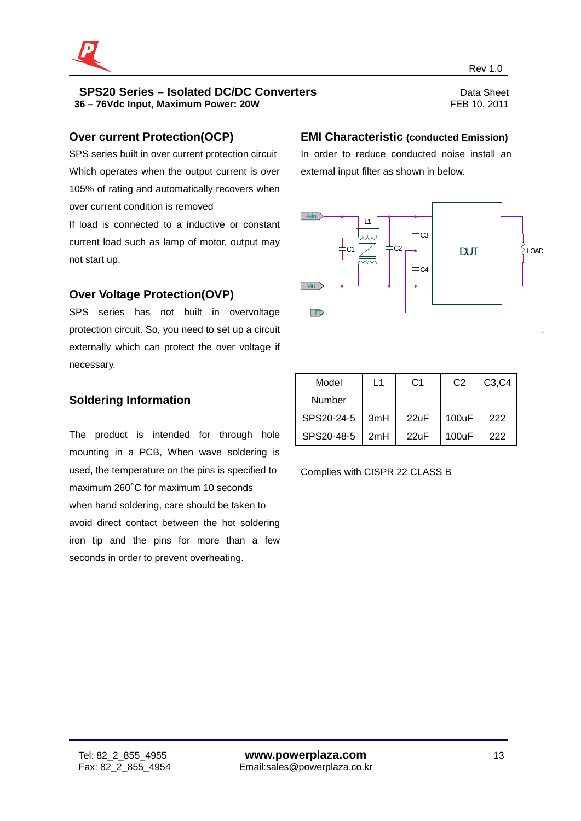

### **Over current Protection(OCP)**

SPS series built in over current protection circuit Which operates when the output current is over 105% of rating and automatically recovers when over current condition is removed

If load is connected to a inductive or constant current load such as lamp of motor, output may not start up.

## **Over Voltage Protection(OVP)**

SPS series has not built in overvoltage protection circuit. So, you need to set up a circuit externally which can protect the over voltage if necessary.

## **Soldering Information**

The product is intended for through hole mounting in a PCB, When wave soldering is used, the temperature on the pins is specified to maximum 260°C for maximum 10 seconds when hand soldering, care should be taken to avoid direct contact between the hot soldering iron tip and the pins for more than a few seconds in order to prevent overheating.

#### **EMI Characteristic (conducted Emission)**

In order to reduce conducted noise install an external input filter as shown in below.



| Model      | $\overline{1}$ | C1   | C <sub>2</sub> | C <sub>3</sub> , C <sub>4</sub> |
|------------|----------------|------|----------------|---------------------------------|
| Number     |                |      |                |                                 |
| SPS20-24-5 | 3mH            | 22uF | 100uF          | 222                             |
| SPS20-48-5 | 2mH            | 22uF | 100uF          | 222                             |

Complies with CISPR 22 CLASS B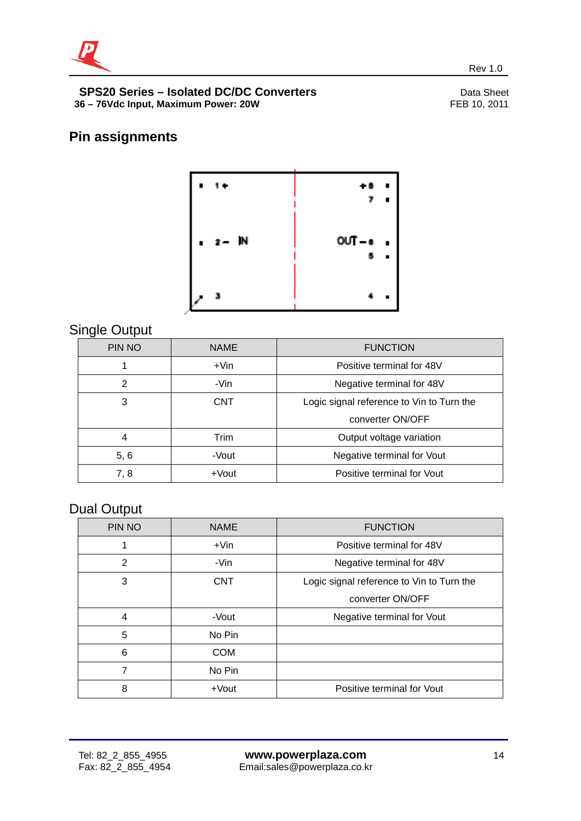

## **Pin assignments**



revenues and the contract of the contract of the contract of the contract of the Rev 1.0  $\sim$ 

## Single Output

| PIN NO         | <b>NAME</b> | <b>FUNCTION</b>                           |  |  |
|----------------|-------------|-------------------------------------------|--|--|
|                | $+V$ in     | Positive terminal for 48V                 |  |  |
| $\overline{2}$ | -Vin        | Negative terminal for 48V                 |  |  |
| 3              | <b>CNT</b>  | Logic signal reference to Vin to Turn the |  |  |
|                |             | converter ON/OFF                          |  |  |
| 4              | Trim        | Output voltage variation                  |  |  |
| 5, 6           | -Vout       | Negative terminal for Vout                |  |  |
| 7, 8           | $+$ Vout    | Positive terminal for Vout                |  |  |

## Dual Output

| PIN NO         | <b>NAME</b> | <b>FUNCTION</b>                           |  |  |
|----------------|-------------|-------------------------------------------|--|--|
|                | $+V$ in     | Positive terminal for 48V                 |  |  |
| $\overline{2}$ | -Vin        | Negative terminal for 48V                 |  |  |
| 3              | <b>CNT</b>  | Logic signal reference to Vin to Turn the |  |  |
|                |             | converter ON/OFF                          |  |  |
| 4              | -Vout       | Negative terminal for Vout                |  |  |
| 5              | No Pin      |                                           |  |  |
| 6              | <b>COM</b>  |                                           |  |  |
| 7              | No Pin      |                                           |  |  |
| 8              | +Vout       | Positive terminal for Vout                |  |  |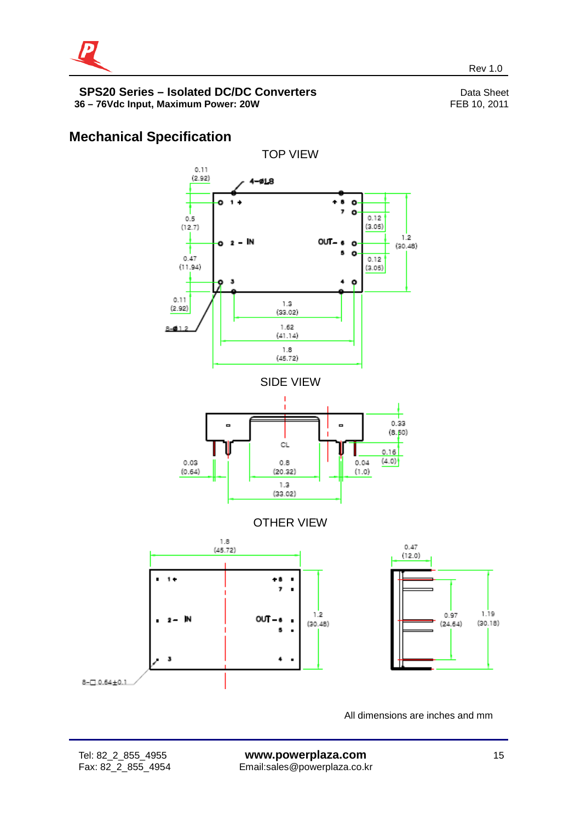

## **Mechanical Specification**



All dimensions are inches and mm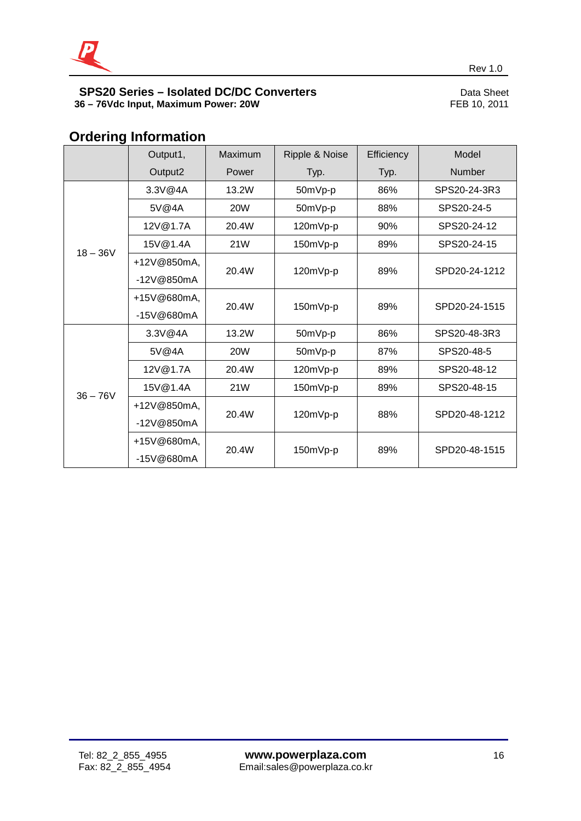

## **Ordering Information**

|            | Output1,     | Maximum    | Ripple & Noise | Efficiency | Model         |
|------------|--------------|------------|----------------|------------|---------------|
|            | Output2      | Power      | Typ.           | Typ.       | <b>Number</b> |
| $18 - 36V$ | 3.3V@4A      | 13.2W      | 50mVp-p        | 86%        | SPS20-24-3R3  |
|            | 5V@4A        | <b>20W</b> | 50mVp-p        | 88%        | SPS20-24-5    |
|            | 12V@1.7A     | 20.4W      | 120mVp-p       | 90%        | SPS20-24-12   |
|            | 15V@1.4A     | 21W        | 150mVp-p       | 89%        | SPS20-24-15   |
|            | +12V@850mA,  | 20.4W      | 120mVp-p       | 89%        | SPD20-24-1212 |
|            | -12V@850mA   |            |                |            |               |
|            | +15V@680mA,  | 20.4W      | 150mVp-p       | 89%        | SPD20-24-1515 |
|            | -15V@680mA   |            |                |            |               |
| $36 - 76V$ | 3.3V@4A      | 13.2W      | 50mVp-p        | 86%        | SPS20-48-3R3  |
|            | 5V@4A        | <b>20W</b> | 50mVp-p        | 87%        | SPS20-48-5    |
|            | 12V@1.7A     | 20.4W      | 120mVp-p       | 89%        | SPS20-48-12   |
|            | 15V@1.4A     | 21W        | 150mVp-p       | 89%        | SPS20-48-15   |
|            | +12V@850mA,  | 20.4W      | 120mVp-p       | 88%        | SPD20-48-1212 |
|            | $-12V@850mA$ |            |                |            |               |
|            | +15V@680mA,  | 20.4W      | 150mVp-p       | 89%        | SPD20-48-1515 |
|            | -15V@680mA   |            |                |            |               |